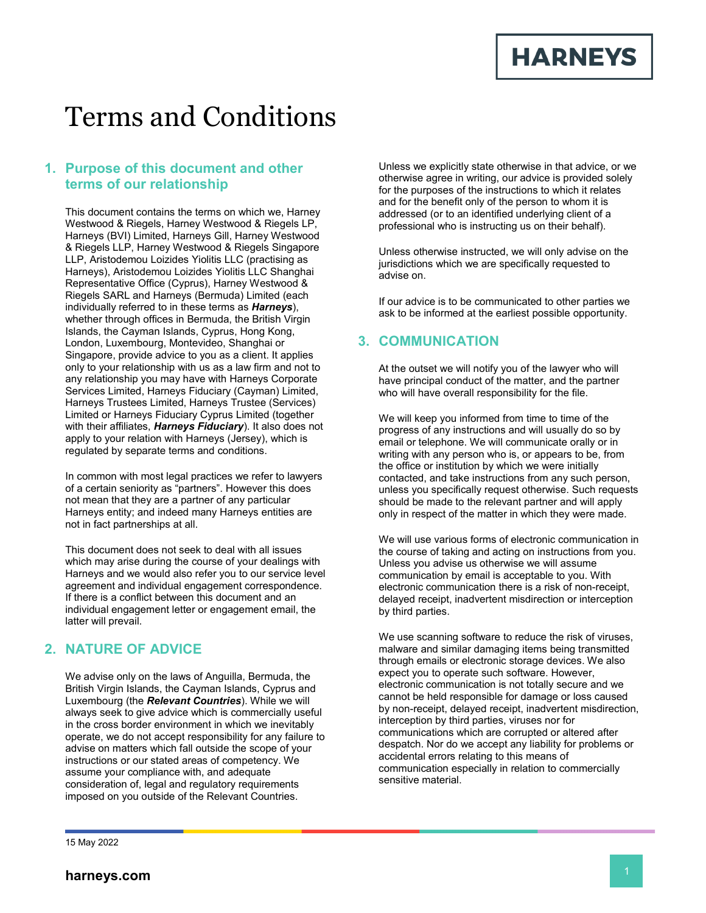**HARNEYS** 

# Terms and Conditions

## **1. Purpose of this document and other terms of our relationship**

This document contains the terms on which we, Harney Westwood & Riegels, Harney Westwood & Riegels LP, Harneys (BVI) Limited, Harneys Gill, Harney Westwood & Riegels LLP, Harney Westwood & Riegels Singapore LLP, Aristodemou Loizides Yiolitis LLC (practising as Harneys), Aristodemou Loizides Yiolitis LLC Shanghai Representative Office (Cyprus), Harney Westwood & Riegels SARL and Harneys (Bermuda) Limited (each individually referred to in these terms as *Harneys*), whether through offices in Bermuda, the British Virgin Islands, the Cayman Islands, Cyprus, Hong Kong, London, Luxembourg, Montevideo, Shanghai or Singapore, provide advice to you as a client. It applies only to your relationship with us as a law firm and not to any relationship you may have with Harneys Corporate Services Limited, Harneys Fiduciary (Cayman) Limited, Harneys Trustees Limited, Harneys Trustee (Services) Limited or Harneys Fiduciary Cyprus Limited (together with their affiliates, *Harneys Fiduciary*). It also does not apply to your relation with Harneys (Jersey), which is regulated by separate terms and conditions.

In common with most legal practices we refer to lawyers of a certain seniority as "partners". However this does not mean that they are a partner of any particular Harneys entity; and indeed many Harneys entities are not in fact partnerships at all.

This document does not seek to deal with all issues which may arise during the course of your dealings with Harneys and we would also refer you to our service level agreement and individual engagement correspondence. If there is a conflict between this document and an individual engagement letter or engagement email, the latter will prevail.

# **2. NATURE OF ADVICE**

We advise only on the laws of Anguilla, Bermuda, the British Virgin Islands, the Cayman Islands, Cyprus and Luxembourg (the *Relevant Countries*). While we will always seek to give advice which is commercially useful in the cross border environment in which we inevitably operate, we do not accept responsibility for any failure to advise on matters which fall outside the scope of your instructions or our stated areas of competency. We assume your compliance with, and adequate consideration of, legal and regulatory requirements imposed on you outside of the Relevant Countries.

Unless we explicitly state otherwise in that advice, or we otherwise agree in writing, our advice is provided solely for the purposes of the instructions to which it relates and for the benefit only of the person to whom it is addressed (or to an identified underlying client of a professional who is instructing us on their behalf).

Unless otherwise instructed, we will only advise on the jurisdictions which we are specifically requested to advise on.

If our advice is to be communicated to other parties we ask to be informed at the earliest possible opportunity.

## **3. COMMUNICATION**

At the outset we will notify you of the lawyer who will have principal conduct of the matter, and the partner who will have overall responsibility for the file.

We will keep you informed from time to time of the progress of any instructions and will usually do so by email or telephone. We will communicate orally or in writing with any person who is, or appears to be, from the office or institution by which we were initially contacted, and take instructions from any such person, unless you specifically request otherwise. Such requests should be made to the relevant partner and will apply only in respect of the matter in which they were made.

We will use various forms of electronic communication in the course of taking and acting on instructions from you. Unless you advise us otherwise we will assume communication by email is acceptable to you. With electronic communication there is a risk of non-receipt, delayed receipt, inadvertent misdirection or interception by third parties.

We use scanning software to reduce the risk of viruses, malware and similar damaging items being transmitted through emails or electronic storage devices. We also expect you to operate such software. However, electronic communication is not totally secure and we cannot be held responsible for damage or loss caused by non-receipt, delayed receipt, inadvertent misdirection, interception by third parties, viruses nor for communications which are corrupted or altered after despatch. Nor do we accept any liability for problems or accidental errors relating to this means of communication especially in relation to commercially sensitive material.

15 May 2022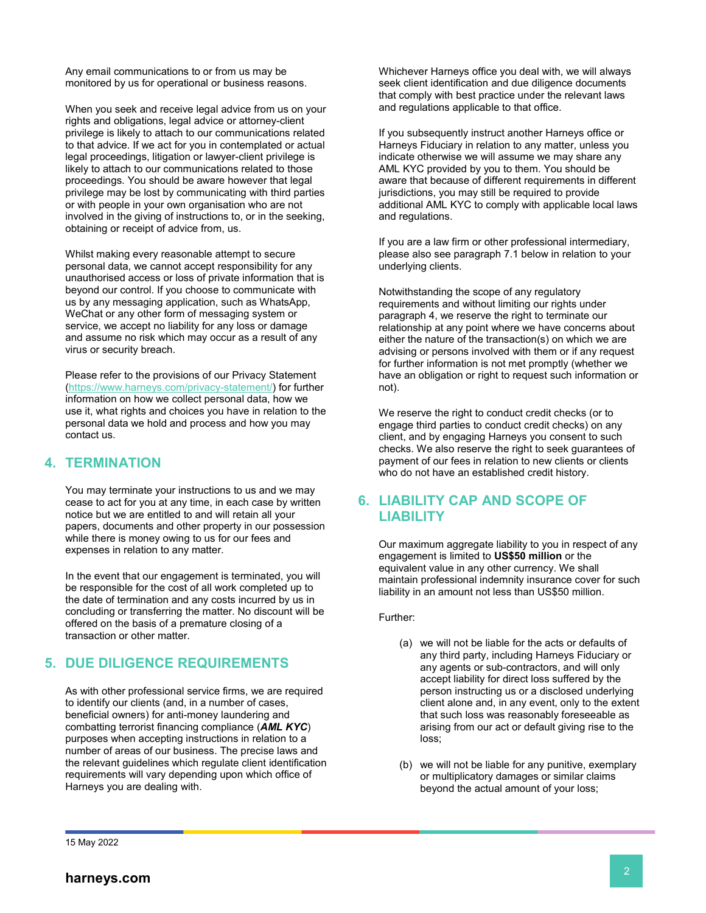Any email communications to or from us may be monitored by us for operational or business reasons.

When you seek and receive legal advice from us on your rights and obligations, legal advice or attorney-client privilege is likely to attach to our communications related to that advice. If we act for you in contemplated or actual legal proceedings, litigation or lawyer-client privilege is likely to attach to our communications related to those proceedings. You should be aware however that legal privilege may be lost by communicating with third parties or with people in your own organisation who are not involved in the giving of instructions to, or in the seeking, obtaining or receipt of advice from, us.

Whilst making every reasonable attempt to secure personal data, we cannot accept responsibility for any unauthorised access or loss of private information that is beyond our control. If you choose to communicate with us by any messaging application, such as WhatsApp, WeChat or any other form of messaging system or service, we accept no liability for any loss or damage and assume no risk which may occur as a result of any virus or security breach.

Please refer to the provisions of our Privacy Statement [\(https://www.harneys.com/privacy-statement/\)](https://www.harneys.com/privacy-statement/) for further information on how we collect personal data, how we use it, what rights and choices you have in relation to the personal data we hold and process and how you may contact us.

## <span id="page-1-0"></span>**4. TERMINATION**

You may terminate your instructions to us and we may cease to act for you at any time, in each case by written notice but we are entitled to and will retain all your papers, documents and other property in our possession while there is money owing to us for our fees and expenses in relation to any matter.

In the event that our engagement is terminated, you will be responsible for the cost of all work completed up to the date of termination and any costs incurred by us in concluding or transferring the matter. No discount will be offered on the basis of a premature closing of a transaction or other matter.

# **5. DUE DILIGENCE REQUIREMENTS**

As with other professional service firms, we are required to identify our clients (and, in a number of cases, beneficial owners) for anti-money laundering and combatting terrorist financing compliance (*AML KYC*) purposes when accepting instructions in relation to a number of areas of our business. The precise laws and the relevant guidelines which regulate client identification requirements will vary depending upon which office of Harneys you are dealing with.

Whichever Harneys office you deal with, we will always seek client identification and due diligence documents that comply with best practice under the relevant laws and regulations applicable to that office.

If you subsequently instruct another Harneys office or Harneys Fiduciary in relation to any matter, unless you indicate otherwise we will assume we may share any AML KYC provided by you to them. You should be aware that because of different requirements in different jurisdictions, you may still be required to provide additional AML KYC to comply with applicable local laws and regulations.

If you are a law firm or other professional intermediary, please also see paragraph [7.](#page-2-0)1 below in relation to your underlying clients.

Notwithstanding the scope of any regulatory requirements and without limiting our rights under paragraph [4,](#page-1-0) we reserve the right to terminate our relationship at any point where we have concerns about either the nature of the transaction(s) on which we are advising or persons involved with them or if any request for further information is not met promptly (whether we have an obligation or right to request such information or not).

We reserve the right to conduct credit checks (or to engage third parties to conduct credit checks) on any client, and by engaging Harneys you consent to such checks. We also reserve the right to seek guarantees of payment of our fees in relation to new clients or clients who do not have an established credit history.

# **6. LIABILITY CAP AND SCOPE OF LIABILITY**

Our maximum aggregate liability to you in respect of any engagement is limited to **US\$50 million** or the equivalent value in any other currency. We shall maintain professional indemnity insurance cover for such liability in an amount not less than US\$50 million.

Further:

- (a) we will not be liable for the acts or defaults of any third party, including Harneys Fiduciary or any agents or sub-contractors, and will only accept liability for direct loss suffered by the person instructing us or a disclosed underlying client alone and, in any event, only to the extent that such loss was reasonably foreseeable as arising from our act or default giving rise to the loss;
- (b) we will not be liable for any punitive, exemplary or multiplicatory damages or similar claims beyond the actual amount of your loss;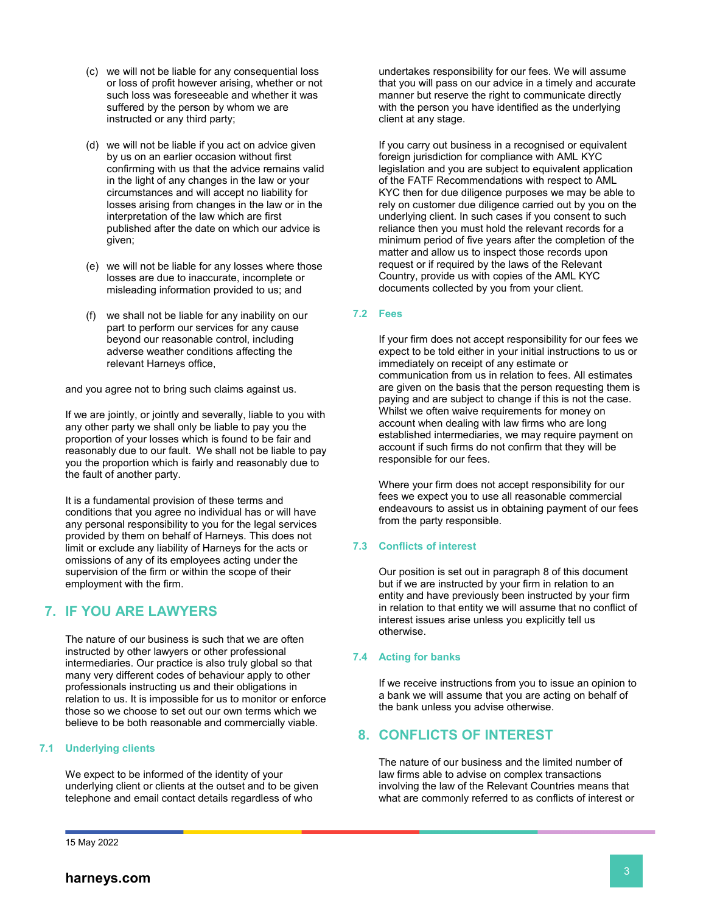- (c) we will not be liable for any consequential loss or loss of profit however arising, whether or not such loss was foreseeable and whether it was suffered by the person by whom we are instructed or any third party;
- (d) we will not be liable if you act on advice given by us on an earlier occasion without first confirming with us that the advice remains valid in the light of any changes in the law or your circumstances and will accept no liability for losses arising from changes in the law or in the interpretation of the law which are first published after the date on which our advice is given;
- (e) we will not be liable for any losses where those losses are due to inaccurate, incomplete or misleading information provided to us; and
- (f) we shall not be liable for any inability on our part to perform our services for any cause beyond our reasonable control, including adverse weather conditions affecting the relevant Harneys office,

and you agree not to bring such claims against us.

If we are jointly, or jointly and severally, liable to you with any other party we shall only be liable to pay you the proportion of your losses which is found to be fair and reasonably due to our fault. We shall not be liable to pay you the proportion which is fairly and reasonably due to the fault of another party.

It is a fundamental provision of these terms and conditions that you agree no individual has or will have any personal responsibility to you for the legal services provided by them on behalf of Harneys. This does not limit or exclude any liability of Harneys for the acts or omissions of any of its employees acting under the supervision of the firm or within the scope of their employment with the firm.

# <span id="page-2-0"></span>**7. IF YOU ARE LAWYERS**

The nature of our business is such that we are often instructed by other lawyers or other professional intermediaries. Our practice is also truly global so that many very different codes of behaviour apply to other professionals instructing us and their obligations in relation to us. It is impossible for us to monitor or enforce those so we choose to set out our own terms which we believe to be both reasonable and commercially viable.

#### **7.1 Underlying clients**

We expect to be informed of the identity of your underlying client or clients at the outset and to be given telephone and email contact details regardless of who

undertakes responsibility for our fees. We will assume that you will pass on our advice in a timely and accurate manner but reserve the right to communicate directly with the person you have identified as the underlying client at any stage.

If you carry out business in a recognised or equivalent foreign jurisdiction for compliance with AML KYC legislation and you are subject to equivalent application of the FATF Recommendations with respect to AML KYC then for due diligence purposes we may be able to rely on customer due diligence carried out by you on the underlying client. In such cases if you consent to such reliance then you must hold the relevant records for a minimum period of five years after the completion of the matter and allow us to inspect those records upon request or if required by the laws of the Relevant Country, provide us with copies of the AML KYC documents collected by you from your client.

#### **7.2 Fees**

If your firm does not accept responsibility for our fees we expect to be told either in your initial instructions to us or immediately on receipt of any estimate or communication from us in relation to fees. All estimates are given on the basis that the person requesting them is paying and are subject to change if this is not the case. Whilst we often waive requirements for money on account when dealing with law firms who are long established intermediaries, we may require payment on account if such firms do not confirm that they will be responsible for our fees.

Where your firm does not accept responsibility for our fees we expect you to use all reasonable commercial endeavours to assist us in obtaining payment of our fees from the party responsible.

#### **7.3 Conflicts of interest**

Our position is set out in paragraph [8](#page-2-1) of this document but if we are instructed by your firm in relation to an entity and have previously been instructed by your firm in relation to that entity we will assume that no conflict of interest issues arise unless you explicitly tell us otherwise.

#### **7.4 Acting for banks**

If we receive instructions from you to issue an opinion to a bank we will assume that you are acting on behalf of the bank unless you advise otherwise.

## <span id="page-2-1"></span>**8. CONFLICTS OF INTEREST**

The nature of our business and the limited number of law firms able to advise on complex transactions involving the law of the Relevant Countries means that what are commonly referred to as conflicts of interest or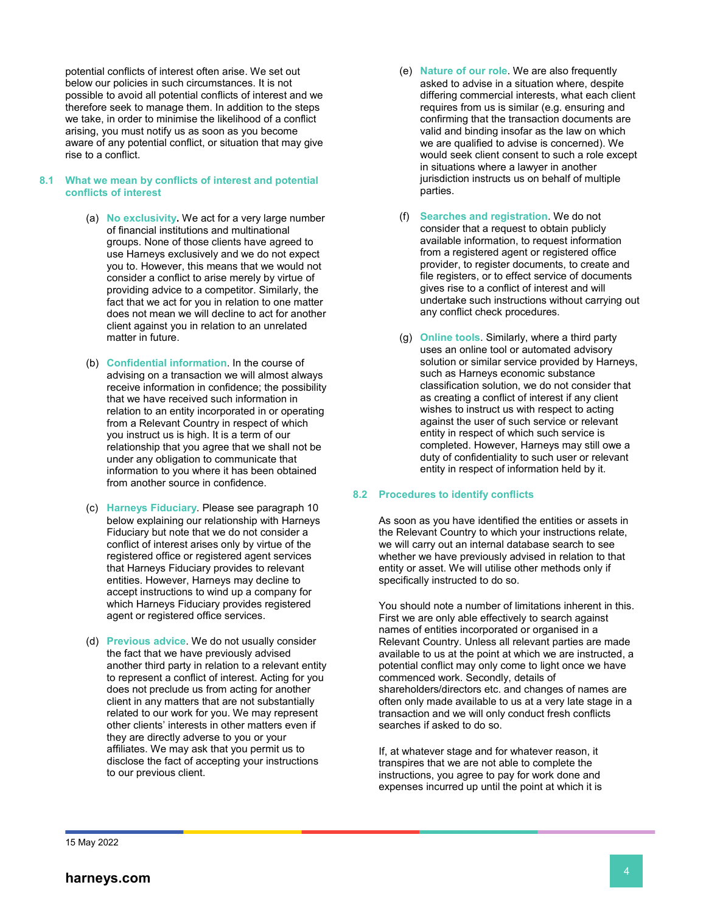potential conflicts of interest often arise. We set out below our policies in such circumstances. It is not possible to avoid all potential conflicts of interest and we therefore seek to manage them. In addition to the steps we take, in order to minimise the likelihood of a conflict arising, you must notify us as soon as you become aware of any potential conflict, or situation that may give rise to a conflict.

#### **8.1 What we mean by conflicts of interest and potential conflicts of interest**

- (a) **No exclusivity.** We act for a very large number of financial institutions and multinational groups. None of those clients have agreed to use Harneys exclusively and we do not expect you to. However, this means that we would not consider a conflict to arise merely by virtue of providing advice to a competitor. Similarly, the fact that we act for you in relation to one matter does not mean we will decline to act for another client against you in relation to an unrelated matter in future.
- (b) **Confidential information**. In the course of advising on a transaction we will almost always receive information in confidence; the possibility that we have received such information in relation to an entity incorporated in or operating from a Relevant Country in respect of which you instruct us is high. It is a term of our relationship that you agree that we shall not be under any obligation to communicate that information to you where it has been obtained from another source in confidence.
- (c) **Harneys Fiduciary**. Please see paragraph 10 below explaining our relationship with Harneys Fiduciary but note that we do not consider a conflict of interest arises only by virtue of the registered office or registered agent services that Harneys Fiduciary provides to relevant entities. However, Harneys may decline to accept instructions to wind up a company for which Harneys Fiduciary provides registered agent or registered office services.
- (d) **Previous advice**. We do not usually consider the fact that we have previously advised another third party in relation to a relevant entity to represent a conflict of interest. Acting for you does not preclude us from acting for another client in any matters that are not substantially related to our work for you. We may represent other clients' interests in other matters even if they are directly adverse to you or your affiliates. We may ask that you permit us to disclose the fact of accepting your instructions to our previous client.
- (e) **Nature of our role**. We are also frequently asked to advise in a situation where, despite differing commercial interests, what each client requires from us is similar (e.g. ensuring and confirming that the transaction documents are valid and binding insofar as the law on which we are qualified to advise is concerned). We would seek client consent to such a role except in situations where a lawyer in another jurisdiction instructs us on behalf of multiple parties.
- (f) **Searches and registration**. We do not consider that a request to obtain publicly available information, to request information from a registered agent or registered office provider, to register documents, to create and file registers, or to effect service of documents gives rise to a conflict of interest and will undertake such instructions without carrying out any conflict check procedures.
- (g) **Online tools**. Similarly, where a third party uses an online tool or automated advisory solution or similar service provided by Harneys, such as Harneys economic substance classification solution, we do not consider that as creating a conflict of interest if any client wishes to instruct us with respect to acting against the user of such service or relevant entity in respect of which such service is completed. However, Harneys may still owe a duty of confidentiality to such user or relevant entity in respect of information held by it.

#### **8.2 Procedures to identify conflicts**

As soon as you have identified the entities or assets in the Relevant Country to which your instructions relate, we will carry out an internal database search to see whether we have previously advised in relation to that entity or asset. We will utilise other methods only if specifically instructed to do so.

You should note a number of limitations inherent in this. First we are only able effectively to search against names of entities incorporated or organised in a Relevant Country. Unless all relevant parties are made available to us at the point at which we are instructed, a potential conflict may only come to light once we have commenced work. Secondly, details of shareholders/directors etc. and changes of names are often only made available to us at a very late stage in a transaction and we will only conduct fresh conflicts searches if asked to do so.

If, at whatever stage and for whatever reason, it transpires that we are not able to complete the instructions, you agree to pay for work done and expenses incurred up until the point at which it is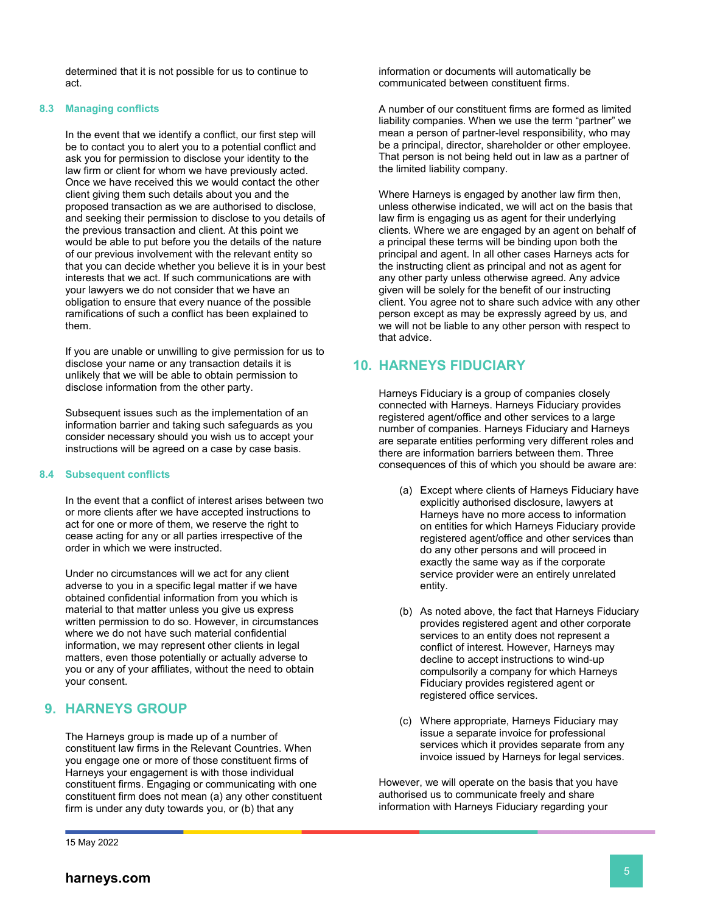determined that it is not possible for us to continue to act.

#### **8.3 Managing conflicts**

In the event that we identify a conflict, our first step will be to contact you to alert you to a potential conflict and ask you for permission to disclose your identity to the law firm or client for whom we have previously acted. Once we have received this we would contact the other client giving them such details about you and the proposed transaction as we are authorised to disclose, and seeking their permission to disclose to you details of the previous transaction and client. At this point we would be able to put before you the details of the nature of our previous involvement with the relevant entity so that you can decide whether you believe it is in your best interests that we act. If such communications are with your lawyers we do not consider that we have an obligation to ensure that every nuance of the possible ramifications of such a conflict has been explained to them.

If you are unable or unwilling to give permission for us to disclose your name or any transaction details it is unlikely that we will be able to obtain permission to disclose information from the other party.

Subsequent issues such as the implementation of an information barrier and taking such safeguards as you consider necessary should you wish us to accept your instructions will be agreed on a case by case basis.

#### **8.4 Subsequent conflicts**

In the event that a conflict of interest arises between two or more clients after we have accepted instructions to act for one or more of them, we reserve the right to cease acting for any or all parties irrespective of the order in which we were instructed.

Under no circumstances will we act for any client adverse to you in a specific legal matter if we have obtained confidential information from you which is material to that matter unless you give us express written permission to do so. However, in circumstances where we do not have such material confidential information, we may represent other clients in legal matters, even those potentially or actually adverse to you or any of your affiliates, without the need to obtain your consent.

# **9. HARNEYS GROUP**

The Harneys group is made up of a number of constituent law firms in the Relevant Countries. When you engage one or more of those constituent firms of Harneys your engagement is with those individual constituent firms. Engaging or communicating with one constituent firm does not mean (a) any other constituent firm is under any duty towards you, or (b) that any

15 May 2022

information or documents will automatically be communicated between constituent firms.

A number of our constituent firms are formed as limited liability companies. When we use the term "partner" we mean a person of partner-level responsibility, who may be a principal, director, shareholder or other employee. That person is not being held out in law as a partner of the limited liability company.

Where Harneys is engaged by another law firm then, unless otherwise indicated, we will act on the basis that law firm is engaging us as agent for their underlying clients. Where we are engaged by an agent on behalf of a principal these terms will be binding upon both the principal and agent. In all other cases Harneys acts for the instructing client as principal and not as agent for any other party unless otherwise agreed. Any advice given will be solely for the benefit of our instructing client. You agree not to share such advice with any other person except as may be expressly agreed by us, and we will not be liable to any other person with respect to that advice.

## **10. HARNEYS FIDUCIARY**

Harneys Fiduciary is a group of companies closely connected with Harneys. Harneys Fiduciary provides registered agent/office and other services to a large number of companies. Harneys Fiduciary and Harneys are separate entities performing very different roles and there are information barriers between them. Three consequences of this of which you should be aware are:

- (a) Except where clients of Harneys Fiduciary have explicitly authorised disclosure, lawyers at Harneys have no more access to information on entities for which Harneys Fiduciary provide registered agent/office and other services than do any other persons and will proceed in exactly the same way as if the corporate service provider were an entirely unrelated entity.
- (b) As noted above, the fact that Harneys Fiduciary provides registered agent and other corporate services to an entity does not represent a conflict of interest. However, Harneys may decline to accept instructions to wind-up compulsorily a company for which Harneys Fiduciary provides registered agent or registered office services.
- (c) Where appropriate, Harneys Fiduciary may issue a separate invoice for professional services which it provides separate from any invoice issued by Harneys for legal services.

However, we will operate on the basis that you have authorised us to communicate freely and share information with Harneys Fiduciary regarding your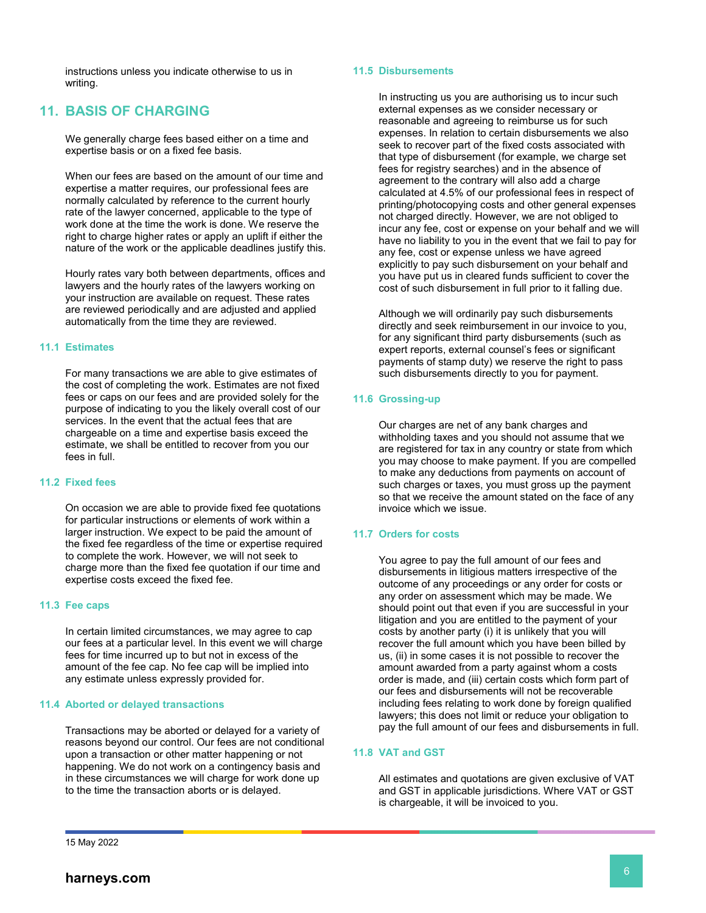instructions unless you indicate otherwise to us in writing.

## **11. BASIS OF CHARGING**

We generally charge fees based either on a time and expertise basis or on a fixed fee basis.

When our fees are based on the amount of our time and expertise a matter requires, our professional fees are normally calculated by reference to the current hourly rate of the lawyer concerned, applicable to the type of work done at the time the work is done. We reserve the right to charge higher rates or apply an uplift if either the nature of the work or the applicable deadlines justify this.

Hourly rates vary both between departments, offices and lawyers and the hourly rates of the lawyers working on your instruction are available on request. These rates are reviewed periodically and are adjusted and applied automatically from the time they are reviewed.

#### **11.1 Estimates**

For many transactions we are able to give estimates of the cost of completing the work. Estimates are not fixed fees or caps on our fees and are provided solely for the purpose of indicating to you the likely overall cost of our services. In the event that the actual fees that are chargeable on a time and expertise basis exceed the estimate, we shall be entitled to recover from you our fees in full.

#### **11.2 Fixed fees**

On occasion we are able to provide fixed fee quotations for particular instructions or elements of work within a larger instruction. We expect to be paid the amount of the fixed fee regardless of the time or expertise required to complete the work. However, we will not seek to charge more than the fixed fee quotation if our time and expertise costs exceed the fixed fee.

#### **11.3 Fee caps**

In certain limited circumstances, we may agree to cap our fees at a particular level. In this event we will charge fees for time incurred up to but not in excess of the amount of the fee cap. No fee cap will be implied into any estimate unless expressly provided for.

#### **11.4 Aborted or delayed transactions**

Transactions may be aborted or delayed for a variety of reasons beyond our control. Our fees are not conditional upon a transaction or other matter happening or not happening. We do not work on a contingency basis and in these circumstances we will charge for work done up to the time the transaction aborts or is delayed.

#### **11.5 Disbursements**

In instructing us you are authorising us to incur such external expenses as we consider necessary or reasonable and agreeing to reimburse us for such expenses. In relation to certain disbursements we also seek to recover part of the fixed costs associated with that type of disbursement (for example, we charge set fees for registry searches) and in the absence of agreement to the contrary will also add a charge calculated at 4.5% of our professional fees in respect of printing/photocopying costs and other general expenses not charged directly. However, we are not obliged to incur any fee, cost or expense on your behalf and we will have no liability to you in the event that we fail to pay for any fee, cost or expense unless we have agreed explicitly to pay such disbursement on your behalf and you have put us in cleared funds sufficient to cover the cost of such disbursement in full prior to it falling due.

Although we will ordinarily pay such disbursements directly and seek reimbursement in our invoice to you, for any significant third party disbursements (such as expert reports, external counsel's fees or significant payments of stamp duty) we reserve the right to pass such disbursements directly to you for payment.

#### **11.6 Grossing-up**

Our charges are net of any bank charges and withholding taxes and you should not assume that we are registered for tax in any country or state from which you may choose to make payment. If you are compelled to make any deductions from payments on account of such charges or taxes, you must gross up the payment so that we receive the amount stated on the face of any invoice which we issue.

#### **11.7 Orders for costs**

You agree to pay the full amount of our fees and disbursements in litigious matters irrespective of the outcome of any proceedings or any order for costs or any order on assessment which may be made. We should point out that even if you are successful in your litigation and you are entitled to the payment of your costs by another party (i) it is unlikely that you will recover the full amount which you have been billed by us, (ii) in some cases it is not possible to recover the amount awarded from a party against whom a costs order is made, and (iii) certain costs which form part of our fees and disbursements will not be recoverable including fees relating to work done by foreign qualified lawyers; this does not limit or reduce your obligation to pay the full amount of our fees and disbursements in full.

#### **11.8 VAT and GST**

All estimates and quotations are given exclusive of VAT and GST in applicable jurisdictions. Where VAT or GST is chargeable, it will be invoiced to you.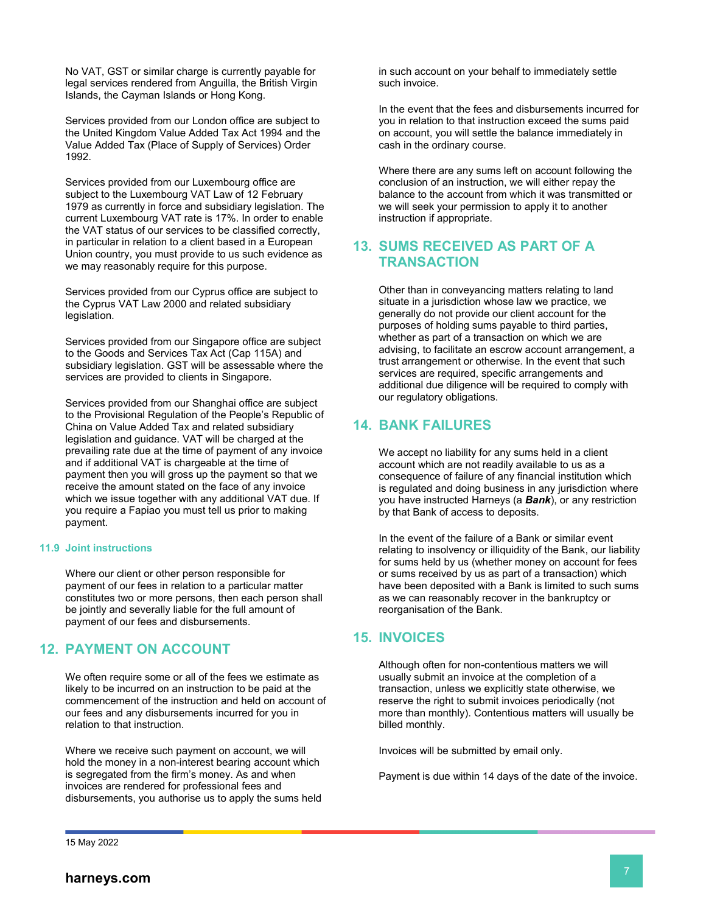No VAT, GST or similar charge is currently payable for legal services rendered from Anguilla, the British Virgin Islands, the Cayman Islands or Hong Kong.

Services provided from our London office are subject to the United Kingdom Value Added Tax Act 1994 and the Value Added Tax (Place of Supply of Services) Order 1992.

Services provided from our Luxembourg office are subject to the Luxembourg VAT Law of 12 February 1979 as currently in force and subsidiary legislation. The current Luxembourg VAT rate is 17%. In order to enable the VAT status of our services to be classified correctly, in particular in relation to a client based in a European Union country, you must provide to us such evidence as we may reasonably require for this purpose.

Services provided from our Cyprus office are subject to the Cyprus VAT Law 2000 and related subsidiary legislation.

Services provided from our Singapore office are subject to the Goods and Services Tax Act (Cap 115A) and subsidiary legislation. GST will be assessable where the services are provided to clients in Singapore.

Services provided from our Shanghai office are subject to the Provisional Regulation of the People's Republic of China on Value Added Tax and related subsidiary legislation and guidance. VAT will be charged at the prevailing rate due at the time of payment of any invoice and if additional VAT is chargeable at the time of payment then you will gross up the payment so that we receive the amount stated on the face of any invoice which we issue together with any additional VAT due. If you require a Fapiao you must tell us prior to making payment.

#### **11.9 Joint instructions**

Where our client or other person responsible for payment of our fees in relation to a particular matter constitutes two or more persons, then each person shall be jointly and severally liable for the full amount of payment of our fees and disbursements.

# **12. PAYMENT ON ACCOUNT**

We often require some or all of the fees we estimate as likely to be incurred on an instruction to be paid at the commencement of the instruction and held on account of our fees and any disbursements incurred for you in relation to that instruction.

Where we receive such payment on account, we will hold the money in a non-interest bearing account which is segregated from the firm's money. As and when invoices are rendered for professional fees and disbursements, you authorise us to apply the sums held in such account on your behalf to immediately settle such invoice.

In the event that the fees and disbursements incurred for you in relation to that instruction exceed the sums paid on account, you will settle the balance immediately in cash in the ordinary course.

Where there are any sums left on account following the conclusion of an instruction, we will either repay the balance to the account from which it was transmitted or we will seek your permission to apply it to another instruction if appropriate.

## **13. SUMS RECEIVED AS PART OF A TRANSACTION**

Other than in conveyancing matters relating to land situate in a jurisdiction whose law we practice, we generally do not provide our client account for the purposes of holding sums payable to third parties, whether as part of a transaction on which we are advising, to facilitate an escrow account arrangement, a trust arrangement or otherwise. In the event that such services are required, specific arrangements and additional due diligence will be required to comply with our regulatory obligations.

## **14. BANK FAILURES**

We accept no liability for any sums held in a client account which are not readily available to us as a consequence of failure of any financial institution which is regulated and doing business in any jurisdiction where you have instructed Harneys (a *Bank*), or any restriction by that Bank of access to deposits.

In the event of the failure of a Bank or similar event relating to insolvency or illiquidity of the Bank, our liability for sums held by us (whether money on account for fees or sums received by us as part of a transaction) which have been deposited with a Bank is limited to such sums as we can reasonably recover in the bankruptcy or reorganisation of the Bank.

# **15. INVOICES**

Although often for non-contentious matters we will usually submit an invoice at the completion of a transaction, unless we explicitly state otherwise, we reserve the right to submit invoices periodically (not more than monthly). Contentious matters will usually be billed monthly.

Invoices will be submitted by email only.

Payment is due within 14 days of the date of the invoice.

15 May 2022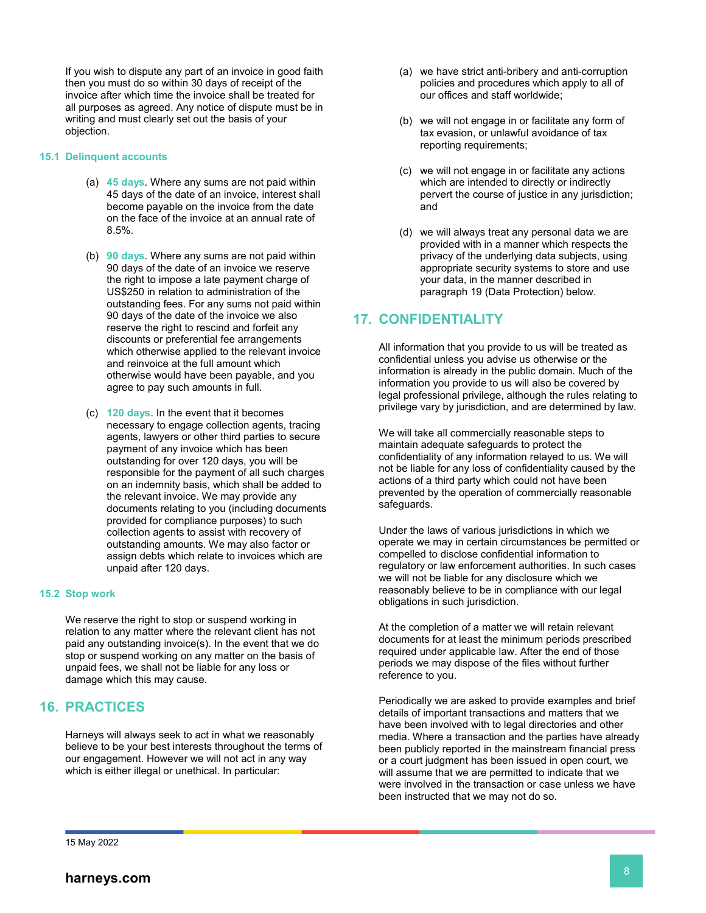If you wish to dispute any part of an invoice in good faith then you must do so within 30 days of receipt of the invoice after which time the invoice shall be treated for all purposes as agreed. Any notice of dispute must be in writing and must clearly set out the basis of your objection.

#### **15.1 Delinquent accounts**

- (a) **45 days**. Where any sums are not paid within 45 days of the date of an invoice, interest shall become payable on the invoice from the date on the face of the invoice at an annual rate of 8.5%.
- (b) **90 days**. Where any sums are not paid within 90 days of the date of an invoice we reserve the right to impose a late payment charge of US\$250 in relation to administration of the outstanding fees. For any sums not paid within 90 days of the date of the invoice we also reserve the right to rescind and forfeit any discounts or preferential fee arrangements which otherwise applied to the relevant invoice and reinvoice at the full amount which otherwise would have been payable, and you agree to pay such amounts in full.
- (c) **120 days**. In the event that it becomes necessary to engage collection agents, tracing agents, lawyers or other third parties to secure payment of any invoice which has been outstanding for over 120 days, you will be responsible for the payment of all such charges on an indemnity basis, which shall be added to the relevant invoice. We may provide any documents relating to you (including documents provided for compliance purposes) to such collection agents to assist with recovery of outstanding amounts. We may also factor or assign debts which relate to invoices which are unpaid after 120 days.

#### **15.2 Stop work**

We reserve the right to stop or suspend working in relation to any matter where the relevant client has not paid any outstanding invoice(s). In the event that we do stop or suspend working on any matter on the basis of unpaid fees, we shall not be liable for any loss or damage which this may cause.

## **16. PRACTICES**

Harneys will always seek to act in what we reasonably believe to be your best interests throughout the terms of our engagement. However we will not act in any way which is either illegal or unethical. In particular:

- (a) we have strict anti-bribery and anti-corruption policies and procedures which apply to all of our offices and staff worldwide;
- (b) we will not engage in or facilitate any form of tax evasion, or unlawful avoidance of tax reporting requirements;
- (c) we will not engage in or facilitate any actions which are intended to directly or indirectly pervert the course of justice in any jurisdiction; and
- (d) we will always treat any personal data we are provided with in a manner which respects the privacy of the underlying data subjects, using appropriate security systems to store and use your data, in the manner described in paragraph [19](#page-8-0) (Data Protection) below.

## **17. CONFIDENTIALITY**

All information that you provide to us will be treated as confidential unless you advise us otherwise or the information is already in the public domain. Much of the information you provide to us will also be covered by legal professional privilege, although the rules relating to privilege vary by jurisdiction, and are determined by law.

We will take all commercially reasonable steps to maintain adequate safeguards to protect the confidentiality of any information relayed to us. We will not be liable for any loss of confidentiality caused by the actions of a third party which could not have been prevented by the operation of commercially reasonable safeguards.

Under the laws of various jurisdictions in which we operate we may in certain circumstances be permitted or compelled to disclose confidential information to regulatory or law enforcement authorities. In such cases we will not be liable for any disclosure which we reasonably believe to be in compliance with our legal obligations in such jurisdiction.

At the completion of a matter we will retain relevant documents for at least the minimum periods prescribed required under applicable law. After the end of those periods we may dispose of the files without further reference to you.

Periodically we are asked to provide examples and brief details of important transactions and matters that we have been involved with to legal directories and other media. Where a transaction and the parties have already been publicly reported in the mainstream financial press or a court judgment has been issued in open court, we will assume that we are permitted to indicate that we were involved in the transaction or case unless we have been instructed that we may not do so.

15 May 2022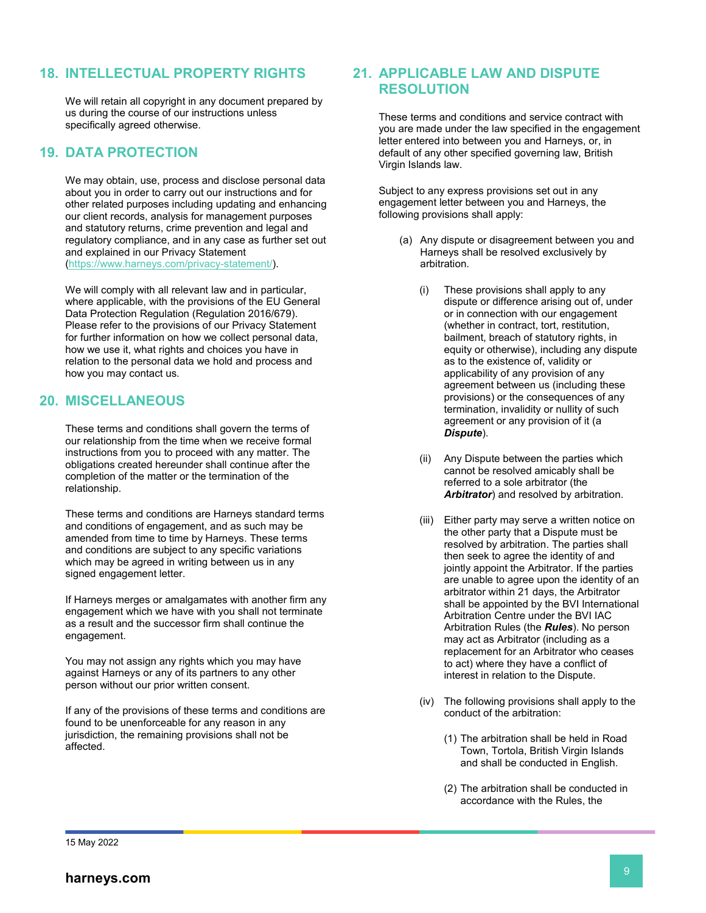## **18. INTELLECTUAL PROPERTY RIGHTS**

We will retain all copyright in any document prepared by us during the course of our instructions unless specifically agreed otherwise.

# <span id="page-8-0"></span>**19. DATA PROTECTION**

We may obtain, use, process and disclose personal data about you in order to carry out our instructions and for other related purposes including updating and enhancing our client records, analysis for management purposes and statutory returns, crime prevention and legal and regulatory compliance, and in any case as further set out and explained in our Privacy Statement [\(https://www.harneys.com/privacy-statement/\)](https://www.harneys.com/privacy-statement/).

We will comply with all relevant law and in particular, where applicable, with the provisions of the EU General Data Protection Regulation (Regulation 2016/679). Please refer to the provisions of our Privacy Statement for further information on how we collect personal data, how we use it, what rights and choices you have in relation to the personal data we hold and process and how you may contact us.

## **20. MISCELLANEOUS**

These terms and conditions shall govern the terms of our relationship from the time when we receive formal instructions from you to proceed with any matter. The obligations created hereunder shall continue after the completion of the matter or the termination of the relationship.

These terms and conditions are Harneys standard terms and conditions of engagement, and as such may be amended from time to time by Harneys. These terms and conditions are subject to any specific variations which may be agreed in writing between us in any signed engagement letter.

If Harneys merges or amalgamates with another firm any engagement which we have with you shall not terminate as a result and the successor firm shall continue the engagement.

You may not assign any rights which you may have against Harneys or any of its partners to any other person without our prior written consent.

If any of the provisions of these terms and conditions are found to be unenforceable for any reason in any jurisdiction, the remaining provisions shall not be affected.

## **21. APPLICABLE LAW AND DISPUTE RESOLUTION**

These terms and conditions and service contract with you are made under the law specified in the engagement letter entered into between you and Harneys, or, in default of any other specified governing law, British Virgin Islands law.

Subject to any express provisions set out in any engagement letter between you and Harneys, the following provisions shall apply:

- (a) Any dispute or disagreement between you and Harneys shall be resolved exclusively by arbitration.
	- (i) These provisions shall apply to any dispute or difference arising out of, under or in connection with our engagement (whether in contract, tort, restitution, bailment, breach of statutory rights, in equity or otherwise), including any dispute as to the existence of, validity or applicability of any provision of any agreement between us (including these provisions) or the consequences of any termination, invalidity or nullity of such agreement or any provision of it (a *Dispute*).
	- (ii) Any Dispute between the parties which cannot be resolved amicably shall be referred to a sole arbitrator (the *Arbitrator*) and resolved by arbitration.
	- (iii) Either party may serve a written notice on the other party that a Dispute must be resolved by arbitration. The parties shall then seek to agree the identity of and jointly appoint the Arbitrator. If the parties are unable to agree upon the identity of an arbitrator within 21 days, the Arbitrator shall be appointed by the BVI International Arbitration Centre under the BVI IAC Arbitration Rules (the *Rules*). No person may act as Arbitrator (including as a replacement for an Arbitrator who ceases to act) where they have a conflict of interest in relation to the Dispute.
	- (iv) The following provisions shall apply to the conduct of the arbitration:
		- (1) The arbitration shall be held in Road Town, Tortola, British Virgin Islands and shall be conducted in English.
		- (2) The arbitration shall be conducted in accordance with the Rules, the

<sup>15</sup> May 2022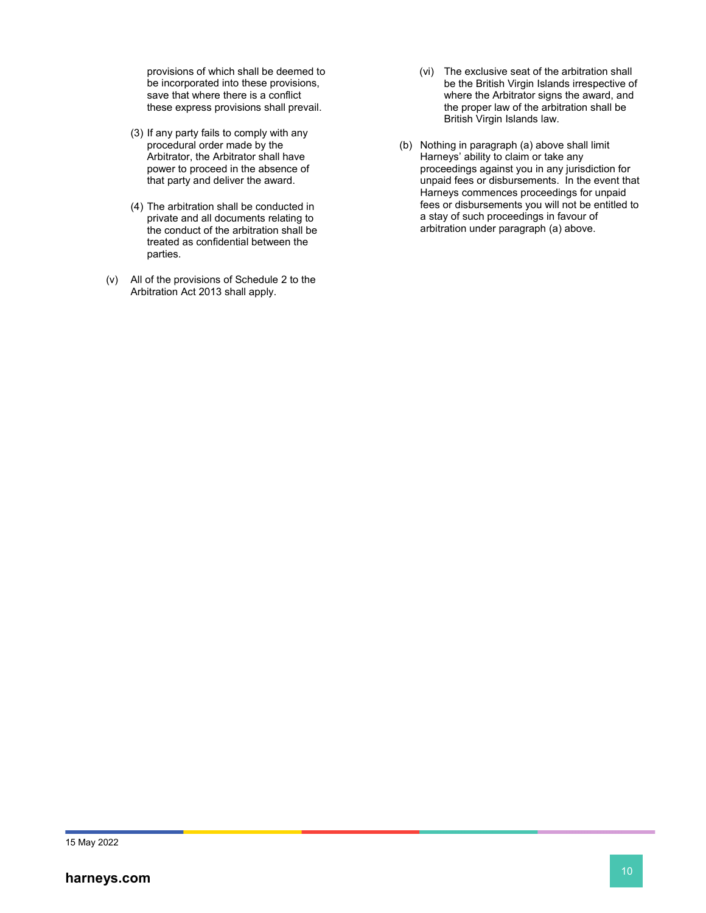provisions of which shall be deemed to be incorporated into these provisions, save that where there is a conflict these express provisions shall prevail.

- (3) If any party fails to comply with any procedural order made by the Arbitrator, the Arbitrator shall have power to proceed in the absence of that party and deliver the award.
- (4) The arbitration shall be conducted in private and all documents relating to the conduct of the arbitration shall be treated as confidential between the parties.
- (v) All of the provisions of Schedule 2 to the Arbitration Act 2013 shall apply.
- (vi) The exclusive seat of the arbitration shall be the British Virgin Islands irrespective of where the Arbitrator signs the award, and the proper law of the arbitration shall be British Virgin Islands law.
- (b) Nothing in paragraph (a) above shall limit Harneys' ability to claim or take any proceedings against you in any jurisdiction for unpaid fees or disbursements. In the event that Harneys commences proceedings for unpaid fees or disbursements you will not be entitled to a stay of such proceedings in favour of arbitration under paragraph (a) above.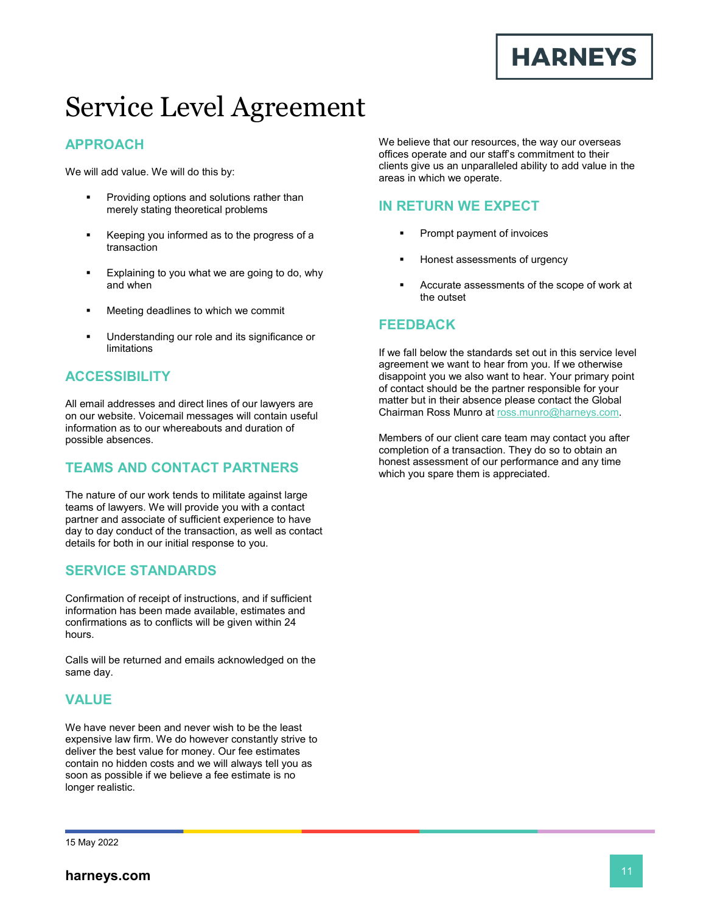

# Service Level Agreement

# **APPROACH**

We will add value. We will do this by:

- Providing options and solutions rather than merely stating theoretical problems
- Keeping you informed as to the progress of a transaction
- Explaining to you what we are going to do, why and when
- Meeting deadlines to which we commit
- Understanding our role and its significance or limitations

# **ACCESSIBILITY**

All email addresses and direct lines of our lawyers are on our website. Voicemail messages will contain useful information as to our whereabouts and duration of possible absences.

# **TEAMS AND CONTACT PARTNERS**

The nature of our work tends to militate against large teams of lawyers. We will provide you with a contact partner and associate of sufficient experience to have day to day conduct of the transaction, as well as contact details for both in our initial response to you.

# **SERVICE STANDARDS**

Confirmation of receipt of instructions, and if sufficient information has been made available, estimates and confirmations as to conflicts will be given within 24 hours.

Calls will be returned and emails acknowledged on the same day.

# **VALUE**

We have never been and never wish to be the least expensive law firm. We do however constantly strive to deliver the best value for money. Our fee estimates contain no hidden costs and we will always tell you as soon as possible if we believe a fee estimate is no longer realistic.

We believe that our resources, the way our overseas offices operate and our staff's commitment to their clients give us an unparalleled ability to add value in the areas in which we operate.

# **IN RETURN WE EXPECT**

- Prompt payment of invoices
- Honest assessments of urgency
- Accurate assessments of the scope of work at the outset

## **FEEDBACK**

If we fall below the standards set out in this service level agreement we want to hear from you. If we otherwise disappoint you we also want to hear. Your primary point of contact should be the partner responsible for your matter but in their absence please contact the Global Chairman Ross Munro at [ross.munro@harneys.com.](mailto:ross.munro@harneys.com)

Members of our client care team may contact you after completion of a transaction. They do so to obtain an honest assessment of our performance and any time which you spare them is appreciated.